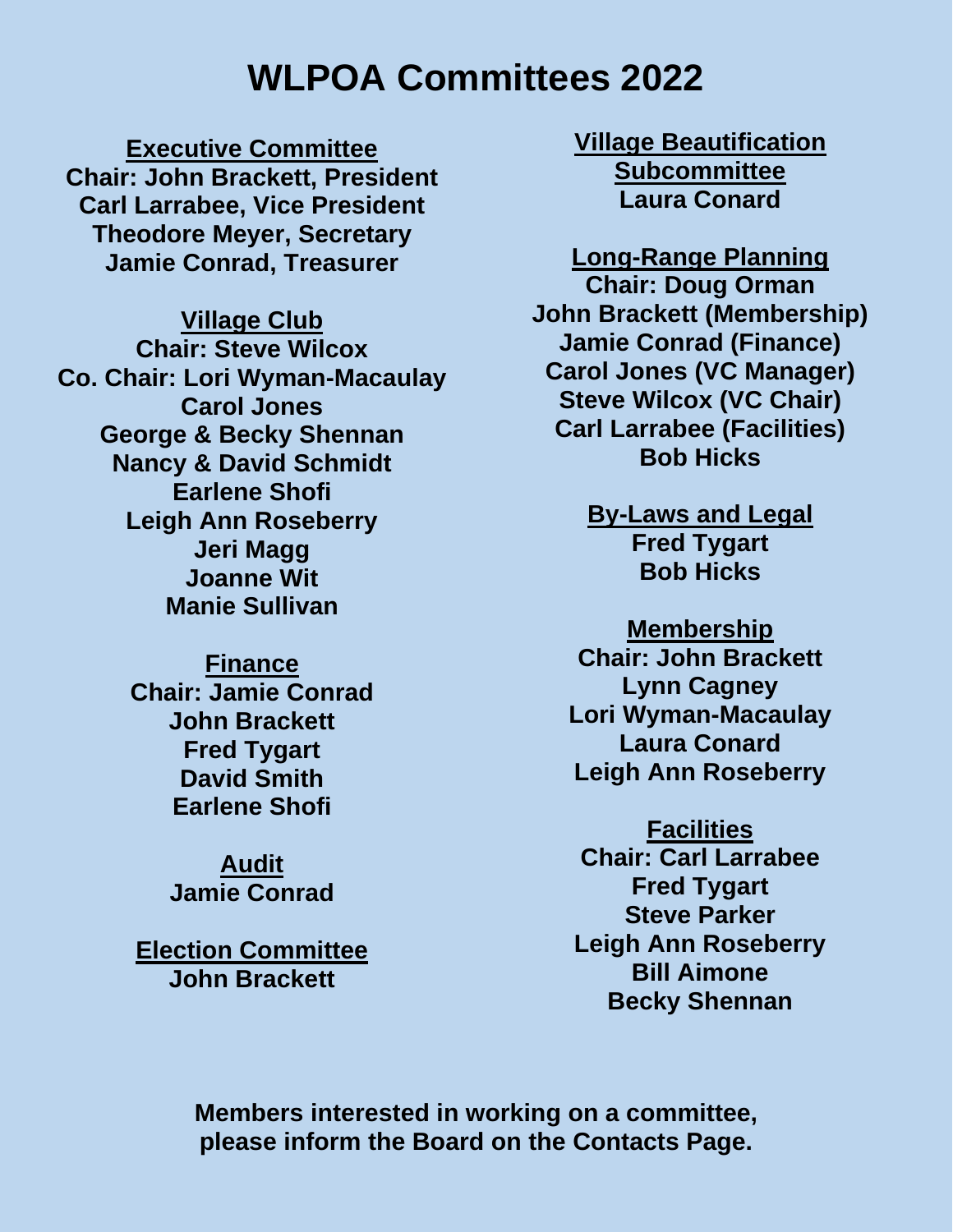# **WLPOA Committees 2022**

**Executive Committee Chair: John Brackett, President Carl Larrabee, Vice President Theodore Meyer, Secretary Jamie Conrad, Treasurer**

**Village Club Chair: Steve Wilcox Co. Chair: Lori Wyman-Macaulay Carol Jones George & Becky Shennan Nancy & David Schmidt Earlene Shofi Leigh Ann Roseberry Jeri Magg Joanne Wit Manie Sullivan**

> **Finance Chair: Jamie Conrad John Brackett Fred Tygart David Smith Earlene Shofi**

> > **Audit Jamie Conrad**

**Election Committee John Brackett**

**Village Beautification Subcommittee Laura Conard**

**Long-Range Planning Chair: Doug Orman John Brackett (Membership) Jamie Conrad (Finance) Carol Jones (VC Manager) Steve Wilcox (VC Chair) Carl Larrabee (Facilities) Bob Hicks**

> **By-Laws and Legal Fred Tygart Bob Hicks**

**Membership Chair: John Brackett Lynn Cagney Lori Wyman-Macaulay Laura Conard Leigh Ann Roseberry**

**Facilities Chair: Carl Larrabee Fred Tygart Steve Parker Leigh Ann Roseberry Bill Aimone Becky Shennan**

**Members interested in working on a committee, please inform the Board on the Contacts Page.**